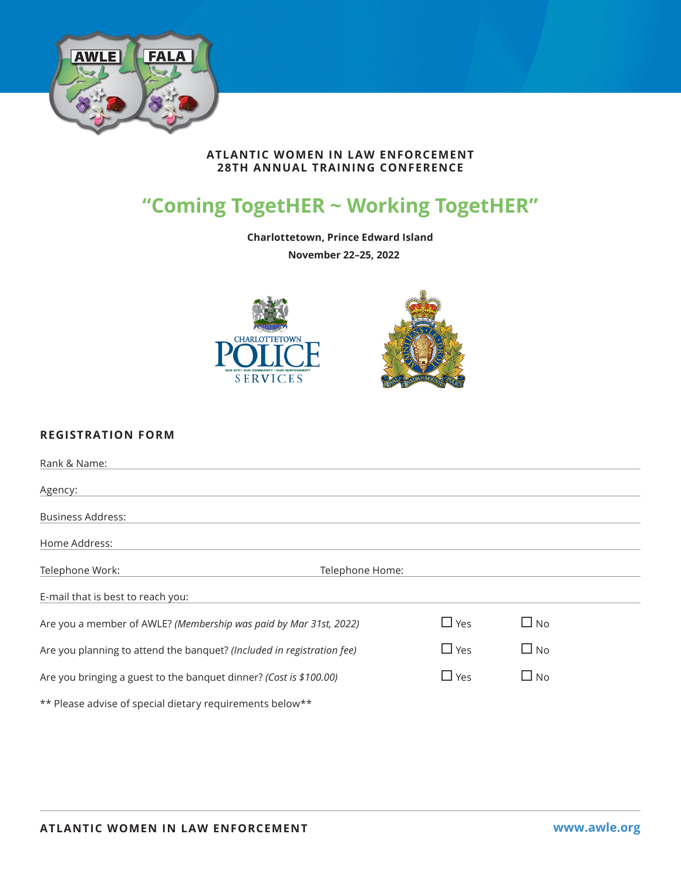

### **ATLANTIC WOMEN IN LAW ENFORCEMENT 28TH ANNUAL TRAINING CONFERENCE**

# **"Coming TogetHER ~ Working TogetHER"**

**Charlottetown, Prince Edward Island** 

**November 22–25, 2022**



# **REGISTRATION FORM**

| Rank & Name:                                                           |               |              |  |
|------------------------------------------------------------------------|---------------|--------------|--|
| Agency:                                                                |               |              |  |
| <b>Business Address:</b>                                               |               |              |  |
| Home Address:                                                          |               |              |  |
| Telephone Work:<br>Telephone Home:                                     |               |              |  |
| E-mail that is best to reach you:                                      |               |              |  |
| Are you a member of AWLE? (Membership was paid by Mar 31st, 2022)      | $\square$ Yes | $\square$ No |  |
| Are you planning to attend the banquet? (Included in registration fee) | $\Box$ Yes    | $\square$ No |  |
| Are you bringing a guest to the banquet dinner? (Cost is \$100.00)     | $\Box$ Yes    | $\square$ No |  |
| ** Please advise of special dietary requirements below**               |               |              |  |